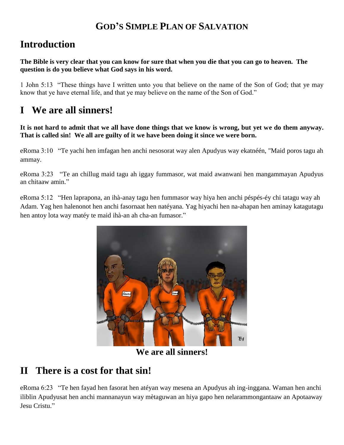#### **GOD'S SIMPLE PLAN OF SALVATION**

## **Introduction**

**The Bible is very clear that you can know for sure that when you die that you can go to heaven. The question is do you believe what God says in his word.**

1 John 5:13 "These things have I written unto you that believe on the name of the Son of God; that ye may know that ye have eternal life, and that ye may believe on the name of the Son of God."

## **I We are all sinners!**

**It is not hard to admit that we all have done things that we know is wrong, but yet we do them anyway. That is called sin! We all are guilty of it we have been doing it since we were born.**

eRoma 3:10 "Te yachi hen imfagan hen anchi nesosorat way alen Apudyus way ekatnéén, "Maid poros tagu ah ammay.

eRoma 3:23 "Te an chillug maid tagu ah iggay fummasor, wat maid awanwani hen mangammayan Apudyus an chitaaw amin."

eRoma 5:12 "Hen laprapona, an ihà-anay tagu hen fummasor way hiya hen anchi péspés-éy chi tatagu way ah Adam. Yag hen halenonot hen anchi fasornaat hen natéyana. Yag hiyachi hen na-ahapan hen aminay katagutagu hen antoy lota way matéy te maid ihà-an ah cha-an fumasor."



**We are all sinners!**

## **II There is a cost for that sin!**

eRoma 6:23 "Te hen fayad hen fasorat hen atéyan way mesena an Apudyus ah ing-inggana. Waman hen anchi iliblin Apudyusat hen anchi mannanayun way mètaguwan an hiya gapo hen nelarammongantaaw an Apotaaway Jesu Cristu."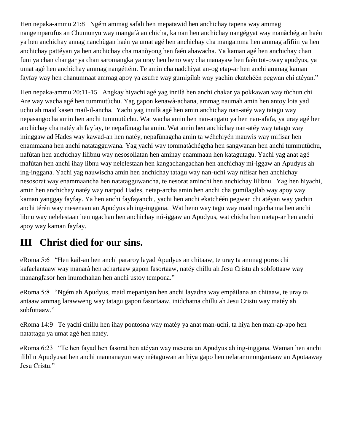Hen nepaka-ammu 21:8 Ngém ammag safali hen mepatawid hen anchichay tapena way ammag nangemparufus an Chumunyu way mangafà an chicha, kaman hen anchichay nangégyat way manàchég an haén ya hen anchichay annag nanchùgan haén ya umat agé hen anchichay cha mangamma hen ammag afifiin ya hen anchichay pattéyan ya hen anchichay cha manòyong hen faén ahawacha. Ya kaman agé hen anchichay chan funi ya chan changar ya chan saromangka ya uray hen heno way cha manayaw hen faén tot-oway apudyus, ya umat agé hen anchichay ammag nangéttém. Te amin cha nadchiyat an-og etap-ar hen anchi ammag kaman fayfay way hen chanumnaat ammag apoy ya asufre way gumigilab way yachin ekatchéén pegwan chi atéyan."

Hen nepaka-ammu 20:11-15 Angkay hiyachi agé yag innilà hen anchi chakar ya pokkawan way tùchun chi Are way wacha agé hen tummutùchu. Yag gapon kenawà-achana, ammag naumah amin hen antoy lota yad uchu ah maid kasen mail-il-ancha. Yachi yag innilà agé hen amin anchichay nan-atéy way tatagu way nepasangocha amin hen anchi tummutùchu. Wat wacha amin hen nan-angato ya hen nan-afafa, ya uray agé hen anchichay cha natéy ah fayfay, te nepafùnagcha amin. Wat amin hen anchichay nan-atéy way tatagu way ininggaw ad Hades way kawad-an hen natéy, nepafùnagcha amin ta wéhchiyén mauwis way mifisar hen enammaana hen anchi natatagguwana. Yag yachi way tommatàchégcha hen sangwanan hen anchi tummutùchu, nafùtan hen anchichay lilibnu way nesosollatan hen aminay enammaan hen katagutagu. Yachi yag anat agé mafùtan hen anchi ihay libnu way nelelestaan hen kangachangachan hen anchichay mì-iggaw an Apudyus ah ing-inggana. Yachi yag nauwischa amin hen anchichay tatagu way nan-uchi way nifisar hen anchichay nesosorat way enammaancha hen natatagguwancha, te nesorat aminchi hen anchichay lilibnu. Yag hen hiyachi, amin hen anchichay natéy way narpod Hades, netap-archa amin hen anchi cha gumilagilab way apoy way kaman yanggay fayfay. Ya hen anchi fayfayanchi, yachi hen anchi ekatchéén pegwan chi atéyan way yachin anchi térén way mesenaan an Apudyus ah ing-inggana. Wat heno way tagu way maid ngachanna hen anchi libnu way nelelestaan hen ngachan hen anchichay mì-iggaw an Apudyus, wat chicha hen metap-ar hen anchi apoy way kaman fayfay.

## **III Christ died for our sins.**

eRoma 5:6 "Hen kail-an hen anchi pararoy layad Apudyus an chitaaw, te uray ta ammag poros chi kafaelantaaw way manarà hen achartaaw gapon fasortaaw, natéy chillu ah Jesu Cristu ah sobfottaaw way manangfasor hen inumchahan hen anchi ustoy tempona."

eRoma 5:8 "Ngém ah Apudyus, maid mepaniyan hen anchi layadna way empàilana an chitaaw, te uray ta antaaw ammag larawweng way tatagu gapon fasortaaw, inidchatna chillu ah Jesu Cristu way matéy ah sobfottaaw."

eRoma 14:9 Te yachi chillu hen ihay pontosna way matéy ya anat man-uchi, ta hiya hen man-ap-apo hen natattagu ya umat agé hen natéy.

eRoma 6:23 "Te hen fayad hen fasorat hen atéyan way mesena an Apudyus ah ing-inggana. Waman hen anchi iliblin Apudyusat hen anchi mannanayun way mètaguwan an hiya gapo hen nelarammongantaaw an Apotaaway Jesu Cristu."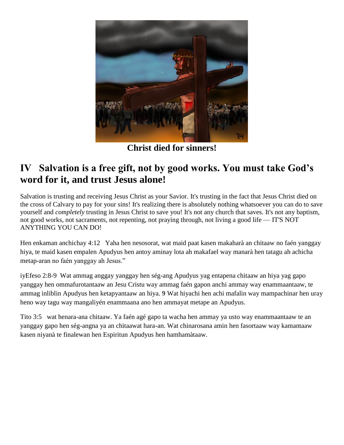

**Christ died for sinners!**

### **IV Salvation is a free gift, not by good works. You must take God's word for it, and trust Jesus alone!**

Salvation is trusting and receiving Jesus Christ as your Savior. It's trusting in the fact that Jesus Christ died on the cross of Calvary to pay for your sins! It's realizing there is absolutely nothing whatsoever you can do to save yourself and *completely* trusting in Jesus Christ to save you! It's not any church that saves. It's not any baptism, not good works, not sacraments, not repenting, not praying through, not living a good life — IT'S NOT ANYTHING YOU CAN DO!

Hen enkaman anchichay 4:12 Yaha hen nesosorat, wat maid paat kasen makaharà an chitaaw no faén yanggay hiya, te maid kasen empalen Apudyus hen antoy aminay lota ah makafael way manarà hen tatagu ah achicha metap-aran no faén yanggay ah Jesus."

iyEfeso 2:8-9 Wat ammag anggay yanggay hen ség-ang Apudyus yag entapena chitaaw an hiya yag gapo yanggay hen ommafurotantaaw an Jesu Cristu way ammag faén gapon anchi ammay way enammaantaaw, te ammag inliblin Apudyus hen ketapyantaaw an hiya. **9** Wat hiyachi hen achi mafalin way mampachinar hen uray heno way tagu way mangaliyén enammaana ano hen ammayat metape an Apudyus.

Tito 3:5 wat henara-ana chitaaw. Ya faén agé gapo ta wacha hen ammay ya usto way enammaantaaw te an yanggay gapo hen ség-angna ya an chitaawat hara-an. Wat chinarosana amin hen fasortaaw way kamantaaw kasen niyanà te finalewan hen Espiritun Apudyus hen hamhamàtaaw.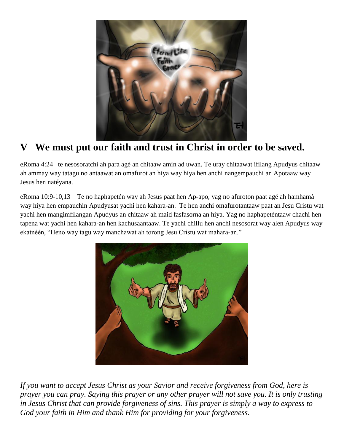

# **V We must put our faith and trust in Christ in order to be saved.**

eRoma 4:24 te nesosoratchi ah para agé an chitaaw amin ad uwan. Te uray chitaawat ifilang Apudyus chitaaw ah ammay way tatagu no antaawat an omafurot an hiya way hiya hen anchi nangempauchi an Apotaaw way Jesus hen natéyana.

eRoma 10:9-10,13 Te no haphapetén way ah Jesus paat hen Ap-apo, yag no afuroton paat agé ah hamhamà way hiya hen empauchin Apudyusat yachi hen kahara-an. Te hen anchi omafurotantaaw paat an Jesu Cristu wat yachi hen mangimfilangan Apudyus an chitaaw ah maid fasfasorna an hiya. Yag no haphapeténtaaw chachi hen tapena wat yachi hen kahara-an hen kachusaantaaw. Te yachi chillu hen anchi nesosorat way alen Apudyus way ekatnéén, "Heno way tagu way manchawat ah torong Jesu Cristu wat mahara-an."



*If you want to accept Jesus Christ as your Savior and receive forgiveness from God, here is prayer you can pray. Saying this prayer or any other prayer will not save you. It is only trusting in Jesus Christ that can provide forgiveness of sins. This prayer is simply a way to express to God your faith in Him and thank Him for providing for your forgiveness.*